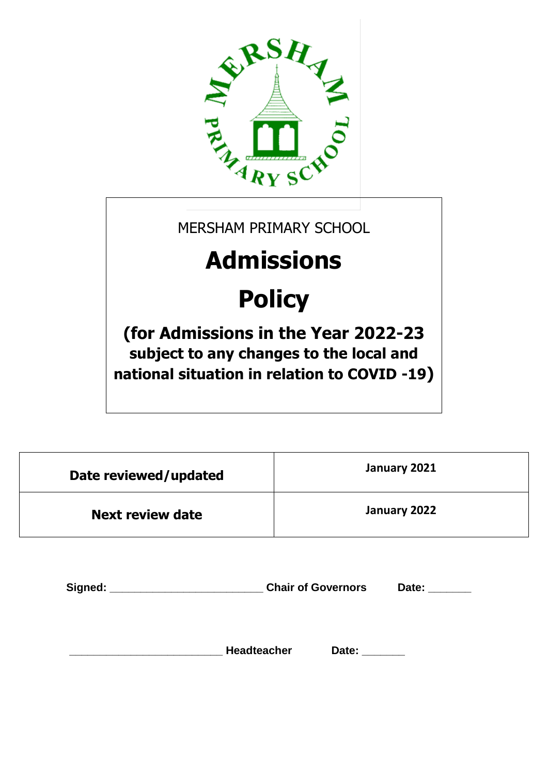

MERSHAM PRIMARY SCHOOL

# **Admissions**

# **Policy**

**(for Admissions in the Year 2022-23 subject to any changes to the local and national situation in relation to COVID -19)**

| Date reviewed/updated   | January 2021 |
|-------------------------|--------------|
| <b>Next review date</b> | January 2022 |

| Signed: |                    | <b>Chair of Governors</b> |  |
|---------|--------------------|---------------------------|--|
|         |                    |                           |  |
|         | <b>Headteacher</b> | Date:                     |  |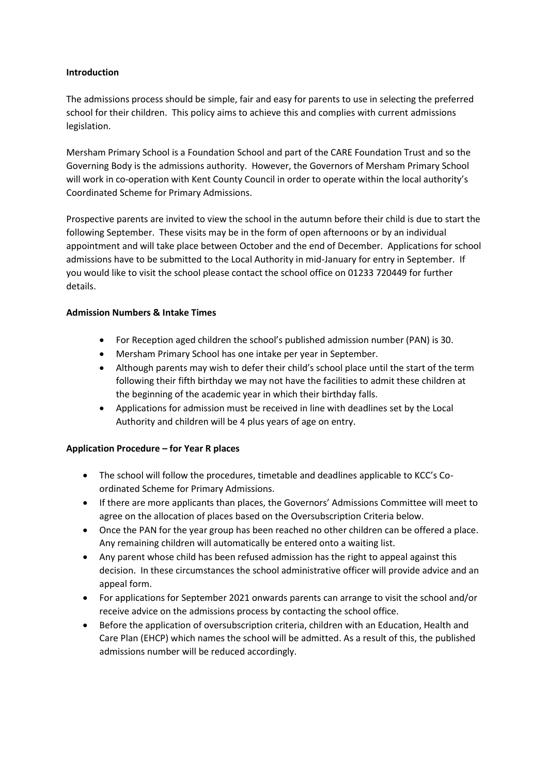#### **Introduction**

The admissions process should be simple, fair and easy for parents to use in selecting the preferred school for their children. This policy aims to achieve this and complies with current admissions legislation.

Mersham Primary School is a Foundation School and part of the CARE Foundation Trust and so the Governing Body is the admissions authority. However, the Governors of Mersham Primary School will work in co-operation with Kent County Council in order to operate within the local authority's Coordinated Scheme for Primary Admissions.

Prospective parents are invited to view the school in the autumn before their child is due to start the following September. These visits may be in the form of open afternoons or by an individual appointment and will take place between October and the end of December. Applications for school admissions have to be submitted to the Local Authority in mid-January for entry in September. If you would like to visit the school please contact the school office on 01233 720449 for further details.

#### **Admission Numbers & Intake Times**

- For Reception aged children the school's published admission number (PAN) is 30.
- Mersham Primary School has one intake per year in September.
- Although parents may wish to defer their child's school place until the start of the term following their fifth birthday we may not have the facilities to admit these children at the beginning of the academic year in which their birthday falls.
- Applications for admission must be received in line with deadlines set by the Local Authority and children will be 4 plus years of age on entry.

# **Application Procedure – for Year R places**

- The school will follow the procedures, timetable and deadlines applicable to KCC's Coordinated Scheme for Primary Admissions.
- If there are more applicants than places, the Governors' Admissions Committee will meet to agree on the allocation of places based on the Oversubscription Criteria below.
- Once the PAN for the year group has been reached no other children can be offered a place. Any remaining children will automatically be entered onto a waiting list.
- Any parent whose child has been refused admission has the right to appeal against this decision. In these circumstances the school administrative officer will provide advice and an appeal form.
- For applications for September 2021 onwards parents can arrange to visit the school and/or receive advice on the admissions process by contacting the school office.
- Before the application of oversubscription criteria, children with an Education, Health and Care Plan (EHCP) which names the school will be admitted. As a result of this, the published admissions number will be reduced accordingly.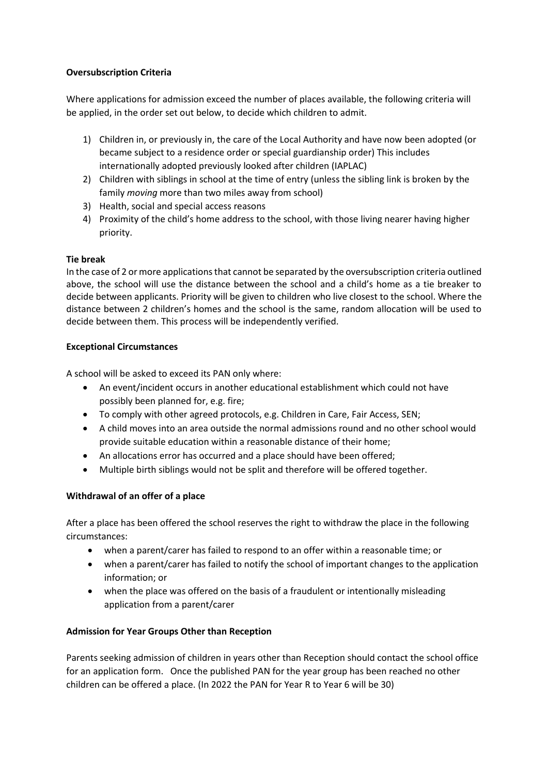#### **Oversubscription Criteria**

Where applications for admission exceed the number of places available, the following criteria will be applied, in the order set out below, to decide which children to admit.

- 1) Children in, or previously in, the care of the Local Authority and have now been adopted (or became subject to a residence order or special guardianship order) This includes internationally adopted previously looked after children (IAPLAC)
- 2) Children with siblings in school at the time of entry (unless the sibling link is broken by the family *moving* more than two miles away from school)
- 3) Health, social and special access reasons
- 4) Proximity of the child's home address to the school, with those living nearer having higher priority.

#### **Tie break**

In the case of 2 or more applications that cannot be separated by the oversubscription criteria outlined above, the school will use the distance between the school and a child's home as a tie breaker to decide between applicants. Priority will be given to children who live closest to the school. Where the distance between 2 children's homes and the school is the same, random allocation will be used to decide between them. This process will be independently verified.

#### **Exceptional Circumstances**

A school will be asked to exceed its PAN only where:

- An event/incident occurs in another educational establishment which could not have possibly been planned for, e.g. fire;
- To comply with other agreed protocols, e.g. Children in Care, Fair Access, SEN;
- A child moves into an area outside the normal admissions round and no other school would provide suitable education within a reasonable distance of their home;
- An allocations error has occurred and a place should have been offered;
- Multiple birth siblings would not be split and therefore will be offered together.

# **Withdrawal of an offer of a place**

After a place has been offered the school reserves the right to withdraw the place in the following circumstances:

- when a parent/carer has failed to respond to an offer within a reasonable time; or
- when a parent/carer has failed to notify the school of important changes to the application information; or
- when the place was offered on the basis of a fraudulent or intentionally misleading application from a parent/carer

# **Admission for Year Groups Other than Reception**

Parents seeking admission of children in years other than Reception should contact the school office for an application form. Once the published PAN for the year group has been reached no other children can be offered a place. (In 2022 the PAN for Year R to Year 6 will be 30)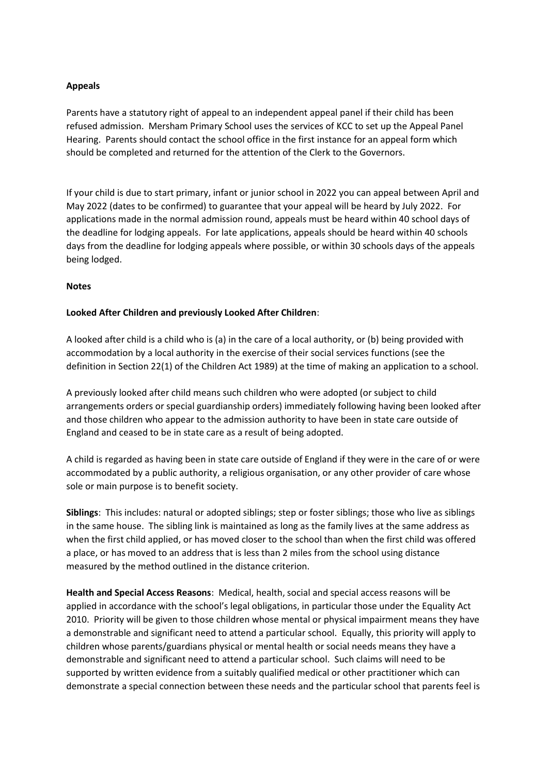#### **Appeals**

Parents have a statutory right of appeal to an independent appeal panel if their child has been refused admission. Mersham Primary School uses the services of KCC to set up the Appeal Panel Hearing. Parents should contact the school office in the first instance for an appeal form which should be completed and returned for the attention of the Clerk to the Governors.

If your child is due to start primary, infant or junior school in 2022 you can appeal between April and May 2022 (dates to be confirmed) to guarantee that your appeal will be heard by July 2022. For applications made in the normal admission round, appeals must be heard within 40 school days of the deadline for lodging appeals. For late applications, appeals should be heard within 40 schools days from the deadline for lodging appeals where possible, or within 30 schools days of the appeals being lodged.

#### **Notes**

#### **Looked After Children and previously Looked After Children**:

A looked after child is a child who is (a) in the care of a local authority, or (b) being provided with accommodation by a local authority in the exercise of their social services functions (see the definition in Section 22(1) of the Children Act 1989) at the time of making an application to a school.

A previously looked after child means such children who were adopted (or subject to child arrangements orders or special guardianship orders) immediately following having been looked after and those children who appear to the admission authority to have been in state care outside of England and ceased to be in state care as a result of being adopted.

A child is regarded as having been in state care outside of England if they were in the care of or were accommodated by a public authority, a religious organisation, or any other provider of care whose sole or main purpose is to benefit society.

**Siblings**: This includes: natural or adopted siblings; step or foster siblings; those who live as siblings in the same house. The sibling link is maintained as long as the family lives at the same address as when the first child applied, or has moved closer to the school than when the first child was offered a place, or has moved to an address that is less than 2 miles from the school using distance measured by the method outlined in the distance criterion.

**Health and Special Access Reasons**: Medical, health, social and special access reasons will be applied in accordance with the school's legal obligations, in particular those under the Equality Act 2010. Priority will be given to those children whose mental or physical impairment means they have a demonstrable and significant need to attend a particular school. Equally, this priority will apply to children whose parents/guardians physical or mental health or social needs means they have a demonstrable and significant need to attend a particular school. Such claims will need to be supported by written evidence from a suitably qualified medical or other practitioner which can demonstrate a special connection between these needs and the particular school that parents feel is